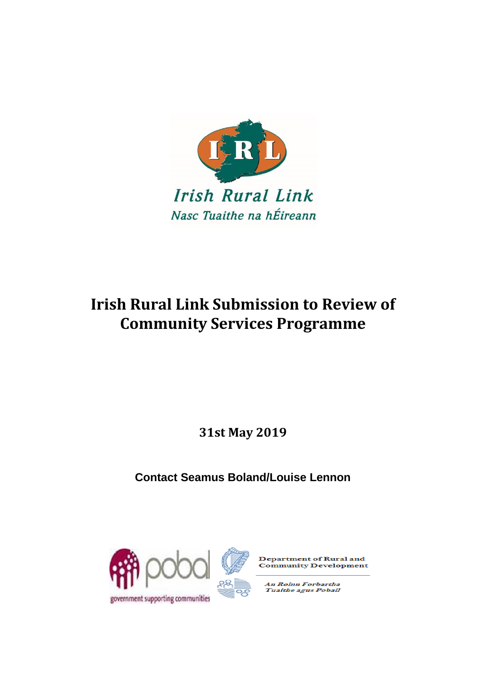

# **Irish Rural Link Submission to Review of Community Services Programme**

**31st May 2019**

**Contact Seamus Boland/Louise Lennon**





**Department of Rural and Community Development** 

An Roinn Forbartha<br>Tuaithe agus Pobail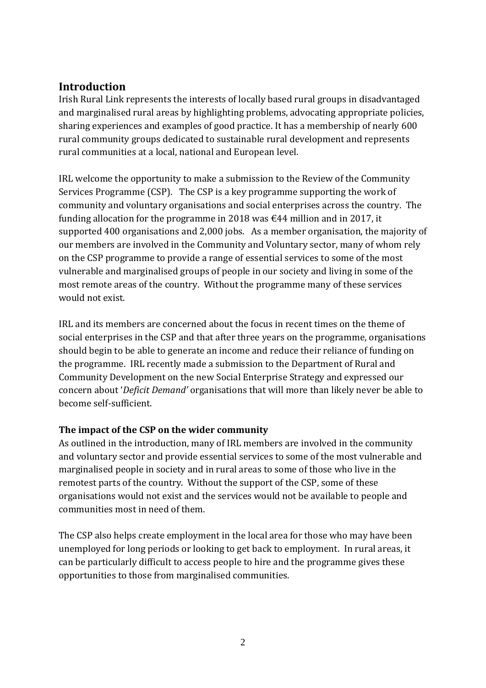## **Introduction**

Irish Rural Link represents the interests of locally based rural groups in disadvantaged and marginalised rural areas by highlighting problems, advocating appropriate policies, sharing experiences and examples of good practice. It has a membership of nearly 600 rural community groups dedicated to sustainable rural development and represents rural communities at a local, national and European level.

IRL welcome the opportunity to make a submission to the Review of the Community Services Programme (CSP). The CSP is a key programme supporting the work of community and voluntary organisations and social enterprises across the country. The funding allocation for the programme in 2018 was  $\epsilon$ 44 million and in 2017, it supported 400 organisations and 2,000 jobs. As a member organisation, the majority of our members are involved in the Community and Voluntary sector, many of whom rely on the CSP programme to provide a range of essential services to some of the most vulnerable and marginalised groups of people in our society and living in some of the most remote areas of the country. Without the programme many of these services would not exist.

IRL and its members are concerned about the focus in recent times on the theme of social enterprises in the CSP and that after three years on the programme, organisations should begin to be able to generate an income and reduce their reliance of funding on the programme. IRL recently made a submission to the Department of Rural and Community Development on the new Social Enterprise Strategy and expressed our concern about '*Deficit Demand'* organisations that will more than likely never be able to become self-sufficient.

#### **The impact of the CSP on the wider community**

As outlined in the introduction, many of IRL members are involved in the community and voluntary sector and provide essential services to some of the most vulnerable and marginalised people in society and in rural areas to some of those who live in the remotest parts of the country. Without the support of the CSP, some of these organisations would not exist and the services would not be available to people and communities most in need of them.

The CSP also helps create employment in the local area for those who may have been unemployed for long periods or looking to get back to employment. In rural areas, it can be particularly difficult to access people to hire and the programme gives these opportunities to those from marginalised communities.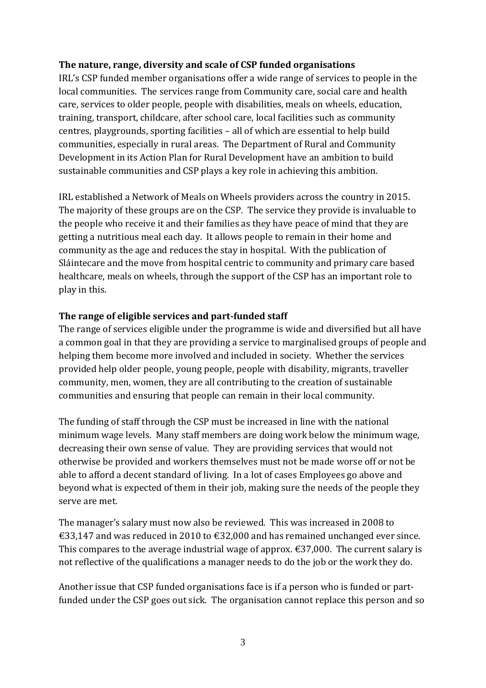#### **The nature, range, diversity and scale of CSP funded organisations**

IRL's CSP funded member organisations offer a wide range of services to people in the local communities. The services range from Community care, social care and health care, services to older people, people with disabilities, meals on wheels, education, training, transport, childcare, after school care, local facilities such as community centres, playgrounds, sporting facilities – all of which are essential to help build communities, especially in rural areas. The Department of Rural and Community Development in its Action Plan for Rural Development have an ambition to build sustainable communities and CSP plays a key role in achieving this ambition.

IRL established a Network of Meals on Wheels providers across the country in 2015. The majority of these groups are on the CSP. The service they provide is invaluable to the people who receive it and their families as they have peace of mind that they are getting a nutritious meal each day. It allows people to remain in their home and community as the age and reduces the stay in hospital. With the publication of Sláintecare and the move from hospital centric to community and primary care based healthcare, meals on wheels, through the support of the CSP has an important role to play in this.

#### **The range of eligible services and part-funded staff**

The range of services eligible under the programme is wide and diversified but all have a common goal in that they are providing a service to marginalised groups of people and helping them become more involved and included in society. Whether the services provided help older people, young people, people with disability, migrants, traveller community, men, women, they are all contributing to the creation of sustainable communities and ensuring that people can remain in their local community.

The funding of staff through the CSP must be increased in line with the national minimum wage levels. Many staff members are doing work below the minimum wage, decreasing their own sense of value. They are providing services that would not otherwise be provided and workers themselves must not be made worse off or not be able to afford a decent standard of living. In a lot of cases Employees go above and beyond what is expected of them in their job, making sure the needs of the people they serve are met.

The manager's salary must now also be reviewed. This was increased in 2008 to €33,147 and was reduced in 2010 to €32,000 and has remained unchanged ever since. This compares to the average industrial wage of approx.  $\epsilon$ 37,000. The current salary is not reflective of the qualifications a manager needs to do the job or the work they do.

Another issue that CSP funded organisations face is if a person who is funded or partfunded under the CSP goes out sick. The organisation cannot replace this person and so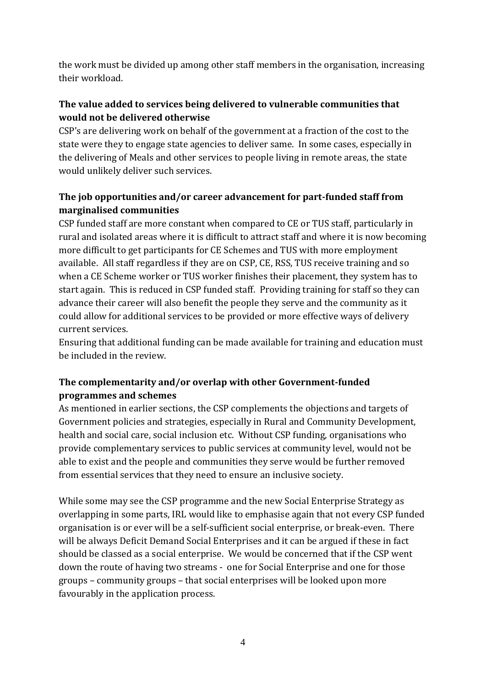the work must be divided up among other staff members in the organisation, increasing their workload.

## **The value added to services being delivered to vulnerable communities that would not be delivered otherwise**

CSP's are delivering work on behalf of the government at a fraction of the cost to the state were they to engage state agencies to deliver same. In some cases, especially in the delivering of Meals and other services to people living in remote areas, the state would unlikely deliver such services.

## **The job opportunities and/or career advancement for part-funded staff from marginalised communities**

CSP funded staff are more constant when compared to CE or TUS staff, particularly in rural and isolated areas where it is difficult to attract staff and where it is now becoming more difficult to get participants for CE Schemes and TUS with more employment available. All staff regardless if they are on CSP, CE, RSS, TUS receive training and so when a CE Scheme worker or TUS worker finishes their placement, they system has to start again. This is reduced in CSP funded staff. Providing training for staff so they can advance their career will also benefit the people they serve and the community as it could allow for additional services to be provided or more effective ways of delivery current services.

Ensuring that additional funding can be made available for training and education must be included in the review.

### **The complementarity and/or overlap with other Government-funded programmes and schemes**

As mentioned in earlier sections, the CSP complements the objections and targets of Government policies and strategies, especially in Rural and Community Development, health and social care, social inclusion etc. Without CSP funding, organisations who provide complementary services to public services at community level, would not be able to exist and the people and communities they serve would be further removed from essential services that they need to ensure an inclusive society.

While some may see the CSP programme and the new Social Enterprise Strategy as overlapping in some parts, IRL would like to emphasise again that not every CSP funded organisation is or ever will be a self-sufficient social enterprise, or break-even. There will be always Deficit Demand Social Enterprises and it can be argued if these in fact should be classed as a social enterprise. We would be concerned that if the CSP went down the route of having two streams - one for Social Enterprise and one for those groups – community groups – that social enterprises will be looked upon more favourably in the application process.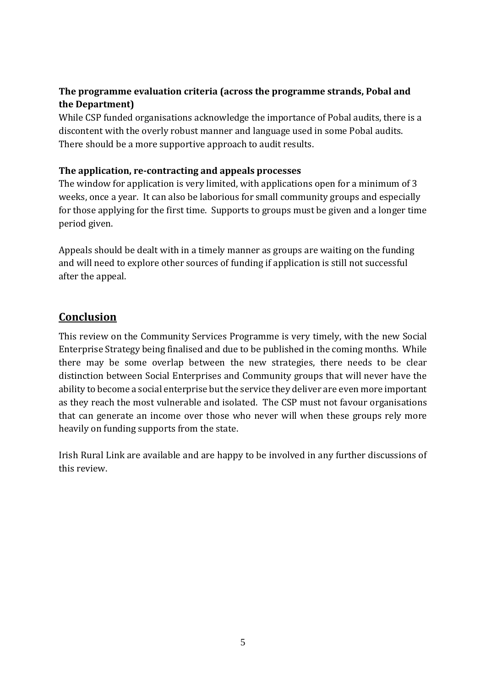## **The programme evaluation criteria (across the programme strands, Pobal and the Department)**

While CSP funded organisations acknowledge the importance of Pobal audits, there is a discontent with the overly robust manner and language used in some Pobal audits. There should be a more supportive approach to audit results.

#### **The application, re-contracting and appeals processes**

The window for application is very limited, with applications open for a minimum of 3 weeks, once a year. It can also be laborious for small community groups and especially for those applying for the first time. Supports to groups must be given and a longer time period given.

Appeals should be dealt with in a timely manner as groups are waiting on the funding and will need to explore other sources of funding if application is still not successful after the appeal.

# **Conclusion**

This review on the Community Services Programme is very timely, with the new Social Enterprise Strategy being finalised and due to be published in the coming months. While there may be some overlap between the new strategies, there needs to be clear distinction between Social Enterprises and Community groups that will never have the ability to become a social enterprise but the service they deliver are even more important as they reach the most vulnerable and isolated. The CSP must not favour organisations that can generate an income over those who never will when these groups rely more heavily on funding supports from the state.

Irish Rural Link are available and are happy to be involved in any further discussions of this review.